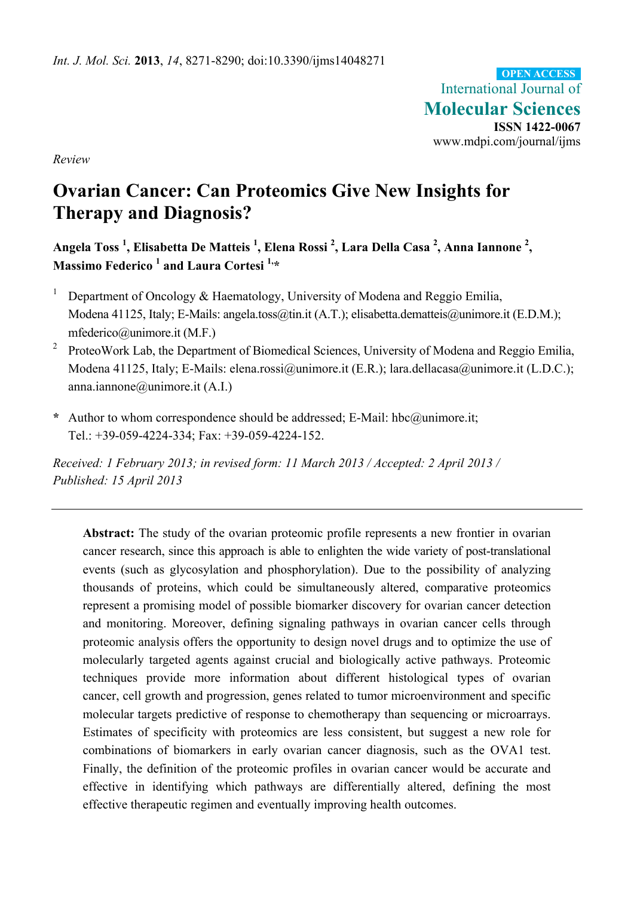International Journal of **Molecular Sciences ISSN 1422-0067**  www.mdpi.com/journal/ijms **OPEN ACCESS**

*Review* 

# **Ovarian Cancer: Can Proteomics Give New Insights for Therapy and Diagnosis?**

**Angela Toss 1 , Elisabetta De Matteis 1 , Elena Rossi <sup>2</sup> , Lara Della Casa 2 , Anna Iannone 2 , Massimo Federico <sup>1</sup> and Laura Cortesi 1,\*** 

- <sup>1</sup> Department of Oncology & Haematology, University of Modena and Reggio Emilia, Modena 41125, Italy; E-Mails: angela.toss@tin.it (A.T.); elisabetta.dematteis@unimore.it (E.D.M.); mfederico@unimore.it (M.F.)
- 2 ProteoWork Lab, the Department of Biomedical Sciences, University of Modena and Reggio Emilia, Modena 41125, Italy; E-Mails: elena.rossi@unimore.it (E.R.); lara.dellacasa@unimore.it (L.D.C.); anna.iannone@unimore.it (A.I.)
- **\*** Author to whom correspondence should be addressed; E-Mail: hbc@unimore.it; Tel.: +39-059-4224-334; Fax: +39-059-4224-152.

*Received: 1 February 2013; in revised form: 11 March 2013 / Accepted: 2 April 2013 / Published: 15 April 2013* 

**Abstract:** The study of the ovarian proteomic profile represents a new frontier in ovarian cancer research, since this approach is able to enlighten the wide variety of post-translational events (such as glycosylation and phosphorylation). Due to the possibility of analyzing thousands of proteins, which could be simultaneously altered, comparative proteomics represent a promising model of possible biomarker discovery for ovarian cancer detection and monitoring. Moreover, defining signaling pathways in ovarian cancer cells through proteomic analysis offers the opportunity to design novel drugs and to optimize the use of molecularly targeted agents against crucial and biologically active pathways. Proteomic techniques provide more information about different histological types of ovarian cancer, cell growth and progression, genes related to tumor microenvironment and specific molecular targets predictive of response to chemotherapy than sequencing or microarrays. Estimates of specificity with proteomics are less consistent, but suggest a new role for combinations of biomarkers in early ovarian cancer diagnosis, such as the OVA1 test. Finally, the definition of the proteomic profiles in ovarian cancer would be accurate and effective in identifying which pathways are differentially altered, defining the most effective therapeutic regimen and eventually improving health outcomes.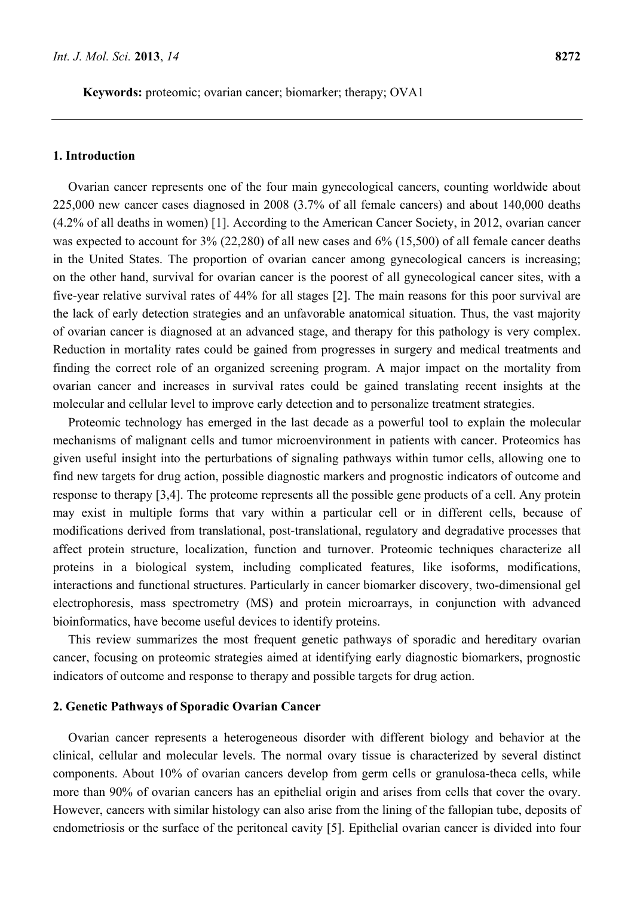**Keywords:** proteomic; ovarian cancer; biomarker; therapy; OVA1

## **1. Introduction**

Ovarian cancer represents one of the four main gynecological cancers, counting worldwide about 225,000 new cancer cases diagnosed in 2008 (3.7% of all female cancers) and about 140,000 deaths (4.2% of all deaths in women) [1]. According to the American Cancer Society, in 2012, ovarian cancer was expected to account for 3% (22,280) of all new cases and 6% (15,500) of all female cancer deaths in the United States. The proportion of ovarian cancer among gynecological cancers is increasing; on the other hand, survival for ovarian cancer is the poorest of all gynecological cancer sites, with a five-year relative survival rates of 44% for all stages [2]. The main reasons for this poor survival are the lack of early detection strategies and an unfavorable anatomical situation. Thus, the vast majority of ovarian cancer is diagnosed at an advanced stage, and therapy for this pathology is very complex. Reduction in mortality rates could be gained from progresses in surgery and medical treatments and finding the correct role of an organized screening program. A major impact on the mortality from ovarian cancer and increases in survival rates could be gained translating recent insights at the molecular and cellular level to improve early detection and to personalize treatment strategies.

Proteomic technology has emerged in the last decade as a powerful tool to explain the molecular mechanisms of malignant cells and tumor microenvironment in patients with cancer. Proteomics has given useful insight into the perturbations of signaling pathways within tumor cells, allowing one to find new targets for drug action, possible diagnostic markers and prognostic indicators of outcome and response to therapy [3,4]. The proteome represents all the possible gene products of a cell. Any protein may exist in multiple forms that vary within a particular cell or in different cells, because of modifications derived from translational, post-translational, regulatory and degradative processes that affect protein structure, localization, function and turnover. Proteomic techniques characterize all proteins in a biological system, including complicated features, like isoforms, modifications, interactions and functional structures. Particularly in cancer biomarker discovery, two-dimensional gel electrophoresis, mass spectrometry (MS) and protein microarrays, in conjunction with advanced bioinformatics, have become useful devices to identify proteins.

This review summarizes the most frequent genetic pathways of sporadic and hereditary ovarian cancer, focusing on proteomic strategies aimed at identifying early diagnostic biomarkers, prognostic indicators of outcome and response to therapy and possible targets for drug action.

## **2. Genetic Pathways of Sporadic Ovarian Cancer**

Ovarian cancer represents a heterogeneous disorder with different biology and behavior at the clinical, cellular and molecular levels. The normal ovary tissue is characterized by several distinct components. About 10% of ovarian cancers develop from germ cells or granulosa-theca cells, while more than 90% of ovarian cancers has an epithelial origin and arises from cells that cover the ovary. However, cancers with similar histology can also arise from the lining of the fallopian tube, deposits of endometriosis or the surface of the peritoneal cavity [5]. Epithelial ovarian cancer is divided into four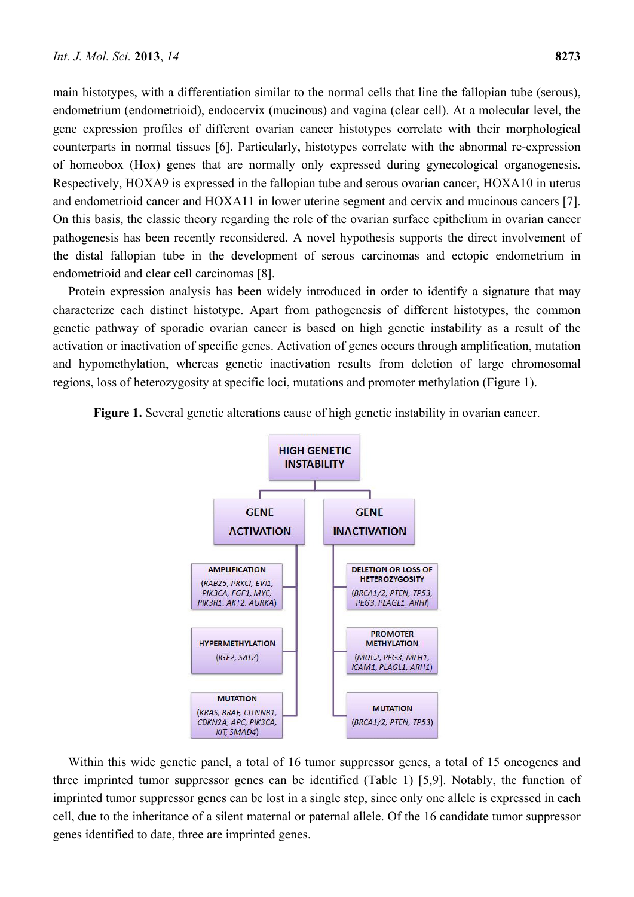main histotypes, with a differentiation similar to the normal cells that line the fallopian tube (serous), endometrium (endometrioid), endocervix (mucinous) and vagina (clear cell). At a molecular level, the gene expression profiles of different ovarian cancer histotypes correlate with their morphological counterparts in normal tissues [6]. Particularly, histotypes correlate with the abnormal re-expression of homeobox (Hox) genes that are normally only expressed during gynecological organogenesis. Respectively, HOXA9 is expressed in the fallopian tube and serous ovarian cancer, HOXA10 in uterus and endometrioid cancer and HOXA11 in lower uterine segment and cervix and mucinous cancers [7]. On this basis, the classic theory regarding the role of the ovarian surface epithelium in ovarian cancer pathogenesis has been recently reconsidered. A novel hypothesis supports the direct involvement of the distal fallopian tube in the development of serous carcinomas and ectopic endometrium in endometrioid and clear cell carcinomas [8].

Protein expression analysis has been widely introduced in order to identify a signature that may characterize each distinct histotype. Apart from pathogenesis of different histotypes, the common genetic pathway of sporadic ovarian cancer is based on high genetic instability as a result of the activation or inactivation of specific genes. Activation of genes occurs through amplification, mutation and hypomethylation, whereas genetic inactivation results from deletion of large chromosomal regions, loss of heterozygosity at specific loci, mutations and promoter methylation (Figure 1).



**Figure 1.** Several genetic alterations cause of high genetic instability in ovarian cancer.

Within this wide genetic panel, a total of 16 tumor suppressor genes, a total of 15 oncogenes and three imprinted tumor suppressor genes can be identified (Table 1) [5,9]. Notably, the function of imprinted tumor suppressor genes can be lost in a single step, since only one allele is expressed in each cell, due to the inheritance of a silent maternal or paternal allele. Of the 16 candidate tumor suppressor genes identified to date, three are imprinted genes.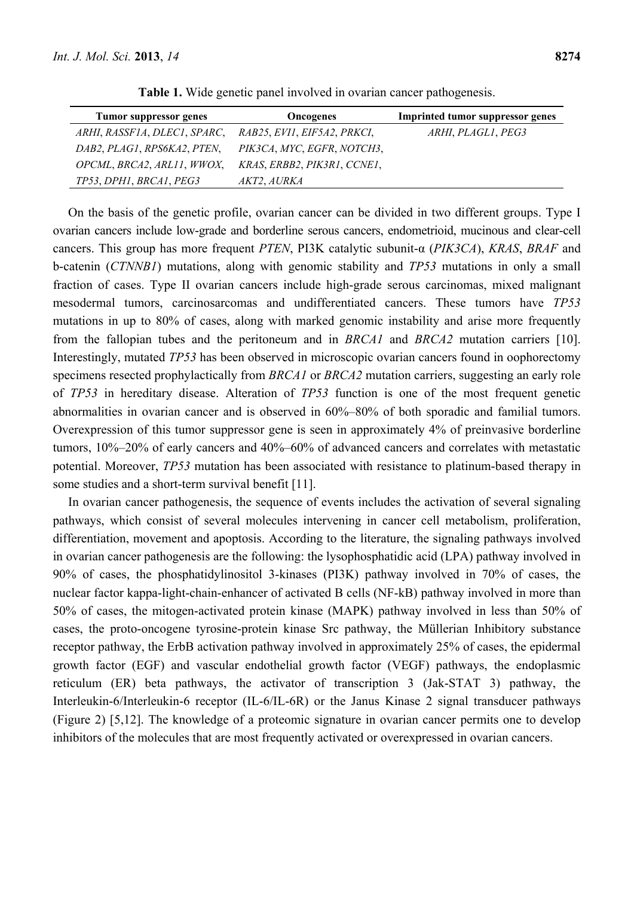| Tumor suppressor genes                                   | Oncogenes   | <b>Imprinted tumor suppressor genes</b> |
|----------------------------------------------------------|-------------|-----------------------------------------|
| ARHI, RASSFIA, DLECI, SPARC, RAB25, EVII, EIF5A2, PRKCI, |             | ARHI, PLAGLI, PEG3                      |
| DAB2, PLAG1, RPS6KA2, PTEN, PIK3CA, MYC, EGFR, NOTCH3,   |             |                                         |
| OPCML, BRCA2, ARL11, WWOX, KRAS, ERBB2, PIK3R1, CCNE1,   |             |                                         |
| TP53, DPH1, BRCA1, PEG3                                  | AKT2, AURKA |                                         |

**Table 1.** Wide genetic panel involved in ovarian cancer pathogenesis.

On the basis of the genetic profile, ovarian cancer can be divided in two different groups. Type I ovarian cancers include low-grade and borderline serous cancers, endometrioid, mucinous and clear-cell cancers. This group has more frequent *PTEN*, PI3K catalytic subunit-α (*PIK3CA*), *KRAS*, *BRAF* and b-catenin (*CTNNB1*) mutations, along with genomic stability and *TP53* mutations in only a small fraction of cases. Type II ovarian cancers include high-grade serous carcinomas, mixed malignant mesodermal tumors, carcinosarcomas and undifferentiated cancers. These tumors have *TP53*  mutations in up to 80% of cases, along with marked genomic instability and arise more frequently from the fallopian tubes and the peritoneum and in *BRCA1* and *BRCA2* mutation carriers [10]. Interestingly, mutated *TP53* has been observed in microscopic ovarian cancers found in oophorectomy specimens resected prophylactically from *BRCA1* or *BRCA2* mutation carriers, suggesting an early role of *TP53* in hereditary disease. Alteration of *TP53* function is one of the most frequent genetic abnormalities in ovarian cancer and is observed in 60%–80% of both sporadic and familial tumors. Overexpression of this tumor suppressor gene is seen in approximately 4% of preinvasive borderline tumors, 10%–20% of early cancers and 40%–60% of advanced cancers and correlates with metastatic potential. Moreover, *TP53* mutation has been associated with resistance to platinum-based therapy in some studies and a short-term survival benefit [11].

In ovarian cancer pathogenesis, the sequence of events includes the activation of several signaling pathways, which consist of several molecules intervening in cancer cell metabolism, proliferation, differentiation, movement and apoptosis. According to the literature, the signaling pathways involved in ovarian cancer pathogenesis are the following: the lysophosphatidic acid (LPA) pathway involved in 90% of cases, the phosphatidylinositol 3-kinases (PI3K) pathway involved in 70% of cases, the nuclear factor kappa-light-chain-enhancer of activated B cells (NF-kB) pathway involved in more than 50% of cases, the mitogen-activated protein kinase (MAPK) pathway involved in less than 50% of cases, the proto-oncogene tyrosine-protein kinase Src pathway, the Müllerian Inhibitory substance receptor pathway, the ErbB activation pathway involved in approximately 25% of cases, the epidermal growth factor (EGF) and vascular endothelial growth factor (VEGF) pathways, the endoplasmic reticulum (ER) beta pathways, the activator of transcription 3 (Jak-STAT 3) pathway, the Interleukin-6/Interleukin-6 receptor (IL-6/IL-6R) or the Janus Kinase 2 signal transducer pathways (Figure 2) [5,12]. The knowledge of a proteomic signature in ovarian cancer permits one to develop inhibitors of the molecules that are most frequently activated or overexpressed in ovarian cancers.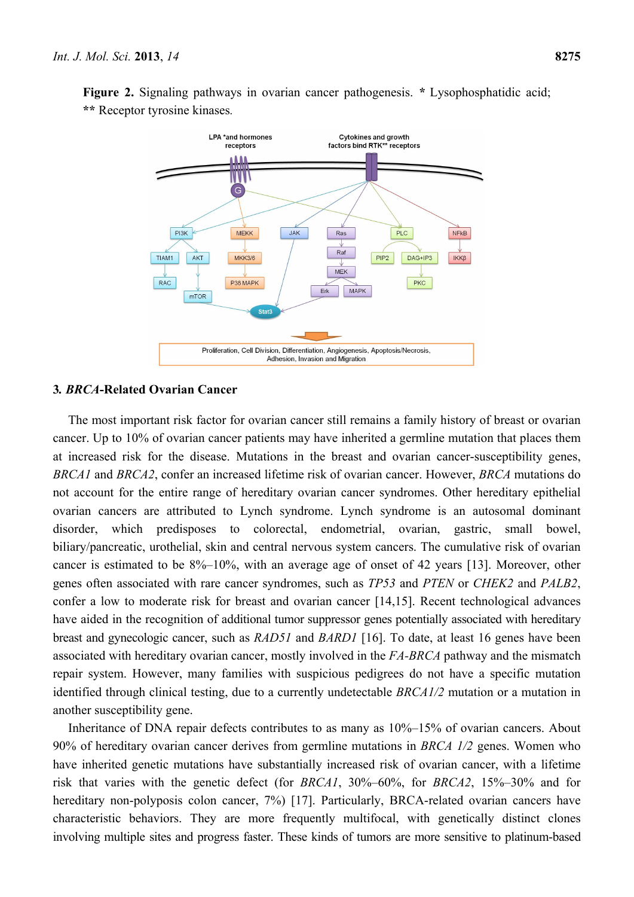

**Figure 2.** Signaling pathways in ovarian cancer pathogenesis. *\** Lysophosphatidic acid; **\*\*** Receptor tyrosine kinases*.*

## **3***. BRCA***-Related Ovarian Cancer**

The most important risk factor for ovarian cancer still remains a family history of breast or ovarian cancer. Up to 10% of ovarian cancer patients may have inherited a germline mutation that places them at increased risk for the disease. Mutations in the breast and ovarian cancer-susceptibility genes, *BRCA1* and *BRCA2*, confer an increased lifetime risk of ovarian cancer. However, *BRCA* mutations do not account for the entire range of hereditary ovarian cancer syndromes. Other hereditary epithelial ovarian cancers are attributed to Lynch syndrome. Lynch syndrome is an autosomal dominant disorder, which predisposes to colorectal, endometrial, ovarian, gastric, small bowel, biliary/pancreatic, urothelial, skin and central nervous system cancers. The cumulative risk of ovarian cancer is estimated to be 8%–10%, with an average age of onset of 42 years [13]. Moreover, other genes often associated with rare cancer syndromes, such as *TP53* and *PTEN* or *CHEK2* and *PALB2*, confer a low to moderate risk for breast and ovarian cancer [14,15]. Recent technological advances have aided in the recognition of additional tumor suppressor genes potentially associated with hereditary breast and gynecologic cancer, such as *RAD51* and *BARD1* [16]. To date, at least 16 genes have been associated with hereditary ovarian cancer, mostly involved in the *FA-BRCA* pathway and the mismatch repair system. However, many families with suspicious pedigrees do not have a specific mutation identified through clinical testing, due to a currently undetectable *BRCA1/2* mutation or a mutation in another susceptibility gene.

Inheritance of DNA repair defects contributes to as many as 10%–15% of ovarian cancers. About 90% of hereditary ovarian cancer derives from germline mutations in *BRCA 1/2* genes. Women who have inherited genetic mutations have substantially increased risk of ovarian cancer, with a lifetime risk that varies with the genetic defect (for *BRCA1*, 30%–60%, for *BRCA2*, 15%–30% and for hereditary non-polyposis colon cancer, 7%) [17]. Particularly, BRCA-related ovarian cancers have characteristic behaviors. They are more frequently multifocal, with genetically distinct clones involving multiple sites and progress faster. These kinds of tumors are more sensitive to platinum-based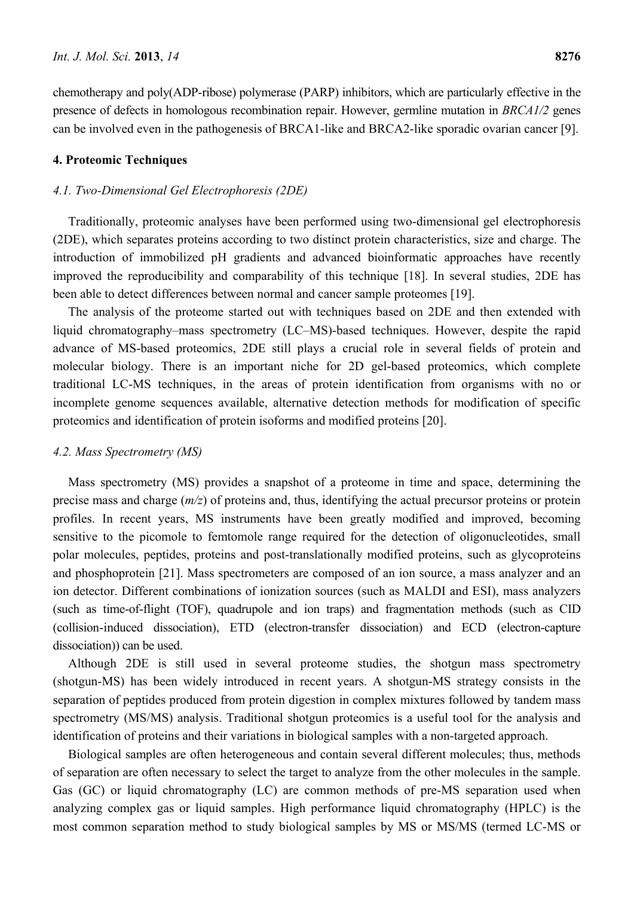chemotherapy and poly(ADP-ribose) polymerase (PARP) inhibitors, which are particularly effective in the presence of defects in homologous recombination repair. However, germline mutation in *BRCA1/2* genes can be involved even in the pathogenesis of BRCA1-like and BRCA2-like sporadic ovarian cancer [9].

## **4. Proteomic Techniques**

#### *4.1. Two-Dimensional Gel Electrophoresis (2DE)*

Traditionally, proteomic analyses have been performed using two-dimensional gel electrophoresis (2DE), which separates proteins according to two distinct protein characteristics, size and charge. The introduction of immobilized pH gradients and advanced bioinformatic approaches have recently improved the reproducibility and comparability of this technique [18]. In several studies, 2DE has been able to detect differences between normal and cancer sample proteomes [19].

The analysis of the proteome started out with techniques based on 2DE and then extended with liquid chromatography–mass spectrometry (LC–MS)-based techniques. However, despite the rapid advance of MS-based proteomics, 2DE still plays a crucial role in several fields of protein and molecular biology. There is an important niche for 2D gel-based proteomics, which complete traditional LC-MS techniques, in the areas of protein identification from organisms with no or incomplete genome sequences available, alternative detection methods for modification of specific proteomics and identification of protein isoforms and modified proteins [20].

## *4.2. Mass Spectrometry (MS)*

Mass spectrometry (MS) provides a snapshot of a proteome in time and space, determining the precise mass and charge (*m/z*) of proteins and, thus, identifying the actual precursor proteins or protein profiles. In recent years, MS instruments have been greatly modified and improved, becoming sensitive to the picomole to femtomole range required for the detection of oligonucleotides, small polar molecules, peptides, proteins and post-translationally modified proteins, such as glycoproteins and phosphoprotein [21]. Mass spectrometers are composed of an ion source, a mass analyzer and an ion detector. Different combinations of ionization sources (such as MALDI and ESI), mass analyzers (such as time-of-flight (TOF), quadrupole and ion traps) and fragmentation methods (such as CID (collision-induced dissociation), ETD (electron-transfer dissociation) and ECD (electron-capture dissociation)) can be used.

Although 2DE is still used in several proteome studies, the shotgun mass spectrometry (shotgun-MS) has been widely introduced in recent years. A shotgun-MS strategy consists in the separation of peptides produced from protein digestion in complex mixtures followed by tandem mass spectrometry (MS/MS) analysis. Traditional shotgun proteomics is a useful tool for the analysis and identification of proteins and their variations in biological samples with a non-targeted approach.

Biological samples are often heterogeneous and contain several different molecules; thus, methods of separation are often necessary to select the target to analyze from the other molecules in the sample. Gas (GC) or liquid chromatography (LC) are common methods of pre-MS separation used when analyzing complex gas or liquid samples. High performance liquid chromatography (HPLC) is the most common separation method to study biological samples by MS or MS/MS (termed LC-MS or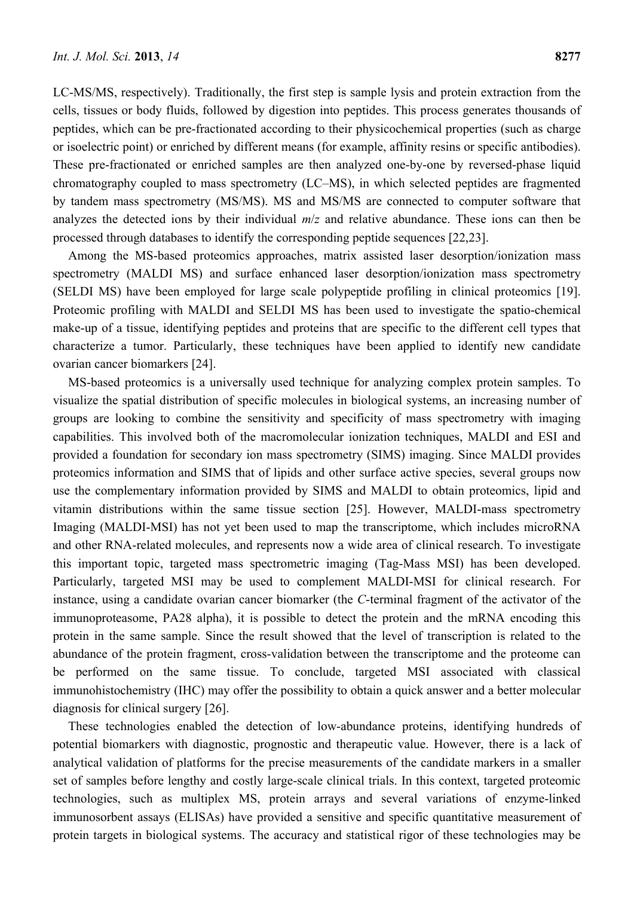LC-MS/MS, respectively). Traditionally, the first step is sample lysis and protein extraction from the cells, tissues or body fluids, followed by digestion into peptides. This process generates thousands of peptides, which can be pre-fractionated according to their physicochemical properties (such as charge or isoelectric point) or enriched by different means (for example, affinity resins or specific antibodies). These pre-fractionated or enriched samples are then analyzed one-by-one by reversed-phase liquid chromatography coupled to mass spectrometry (LC–MS), in which selected peptides are fragmented by tandem mass spectrometry (MS/MS). MS and MS/MS are connected to computer software that analyzes the detected ions by their individual *m*/*z* and relative abundance. These ions can then be processed through databases to identify the corresponding peptide sequences [22,23].

Among the MS-based proteomics approaches, matrix assisted laser desorption/ionization mass spectrometry (MALDI MS) and surface enhanced laser desorption/ionization mass spectrometry (SELDI MS) have been employed for large scale polypeptide profiling in clinical proteomics [19]. Proteomic profiling with MALDI and SELDI MS has been used to investigate the spatio-chemical make-up of a tissue, identifying peptides and proteins that are specific to the different cell types that characterize a tumor. Particularly, these techniques have been applied to identify new candidate ovarian cancer biomarkers [24].

MS-based proteomics is a universally used technique for analyzing complex protein samples. To visualize the spatial distribution of specific molecules in biological systems, an increasing number of groups are looking to combine the sensitivity and specificity of mass spectrometry with imaging capabilities. This involved both of the macromolecular ionization techniques, MALDI and ESI and provided a foundation for secondary ion mass spectrometry (SIMS) imaging. Since MALDI provides proteomics information and SIMS that of lipids and other surface active species, several groups now use the complementary information provided by SIMS and MALDI to obtain proteomics, lipid and vitamin distributions within the same tissue section [25]. However, MALDI-mass spectrometry Imaging (MALDI-MSI) has not yet been used to map the transcriptome, which includes microRNA and other RNA-related molecules, and represents now a wide area of clinical research. To investigate this important topic, targeted mass spectrometric imaging (Tag-Mass MSI) has been developed. Particularly, targeted MSI may be used to complement MALDI-MSI for clinical research. For instance, using a candidate ovarian cancer biomarker (the *C*-terminal fragment of the activator of the immunoproteasome, PA28 alpha), it is possible to detect the protein and the mRNA encoding this protein in the same sample. Since the result showed that the level of transcription is related to the abundance of the protein fragment, cross-validation between the transcriptome and the proteome can be performed on the same tissue. To conclude, targeted MSI associated with classical immunohistochemistry (IHC) may offer the possibility to obtain a quick answer and a better molecular diagnosis for clinical surgery [26].

These technologies enabled the detection of low-abundance proteins, identifying hundreds of potential biomarkers with diagnostic, prognostic and therapeutic value. However, there is a lack of analytical validation of platforms for the precise measurements of the candidate markers in a smaller set of samples before lengthy and costly large-scale clinical trials. In this context, targeted proteomic technologies, such as multiplex MS, protein arrays and several variations of enzyme-linked immunosorbent assays (ELISAs) have provided a sensitive and specific quantitative measurement of protein targets in biological systems. The accuracy and statistical rigor of these technologies may be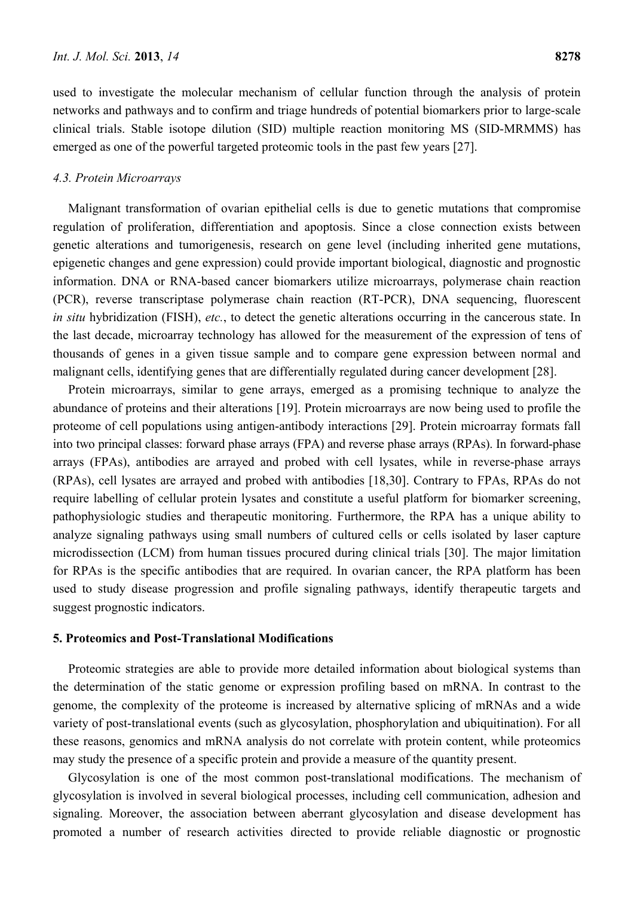used to investigate the molecular mechanism of cellular function through the analysis of protein networks and pathways and to confirm and triage hundreds of potential biomarkers prior to large-scale clinical trials. Stable isotope dilution (SID) multiple reaction monitoring MS (SID-MRMMS) has emerged as one of the powerful targeted proteomic tools in the past few years [27].

## *4.3. Protein Microarrays*

Malignant transformation of ovarian epithelial cells is due to genetic mutations that compromise regulation of proliferation, differentiation and apoptosis. Since a close connection exists between genetic alterations and tumorigenesis, research on gene level (including inherited gene mutations, epigenetic changes and gene expression) could provide important biological, diagnostic and prognostic information. DNA or RNA-based cancer biomarkers utilize microarrays, polymerase chain reaction (PCR), reverse transcriptase polymerase chain reaction (RT-PCR), DNA sequencing, fluorescent *in situ* hybridization (FISH), *etc.*, to detect the genetic alterations occurring in the cancerous state. In the last decade, microarray technology has allowed for the measurement of the expression of tens of thousands of genes in a given tissue sample and to compare gene expression between normal and malignant cells, identifying genes that are differentially regulated during cancer development [28].

Protein microarrays, similar to gene arrays, emerged as a promising technique to analyze the abundance of proteins and their alterations [19]. Protein microarrays are now being used to profile the proteome of cell populations using antigen-antibody interactions [29]. Protein microarray formats fall into two principal classes: forward phase arrays (FPA) and reverse phase arrays (RPAs). In forward-phase arrays (FPAs), antibodies are arrayed and probed with cell lysates, while in reverse-phase arrays (RPAs), cell lysates are arrayed and probed with antibodies [18,30]. Contrary to FPAs, RPAs do not require labelling of cellular protein lysates and constitute a useful platform for biomarker screening, pathophysiologic studies and therapeutic monitoring. Furthermore, the RPA has a unique ability to analyze signaling pathways using small numbers of cultured cells or cells isolated by laser capture microdissection (LCM) from human tissues procured during clinical trials [30]. The major limitation for RPAs is the specific antibodies that are required. In ovarian cancer, the RPA platform has been used to study disease progression and profile signaling pathways, identify therapeutic targets and suggest prognostic indicators.

## **5. Proteomics and Post-Translational Modifications**

Proteomic strategies are able to provide more detailed information about biological systems than the determination of the static genome or expression profiling based on mRNA. In contrast to the genome, the complexity of the proteome is increased by alternative splicing of mRNAs and a wide variety of post-translational events (such as glycosylation, phosphorylation and ubiquitination). For all these reasons, genomics and mRNA analysis do not correlate with protein content, while proteomics may study the presence of a specific protein and provide a measure of the quantity present.

Glycosylation is one of the most common post-translational modifications. The mechanism of glycosylation is involved in several biological processes, including cell communication, adhesion and signaling. Moreover, the association between aberrant glycosylation and disease development has promoted a number of research activities directed to provide reliable diagnostic or prognostic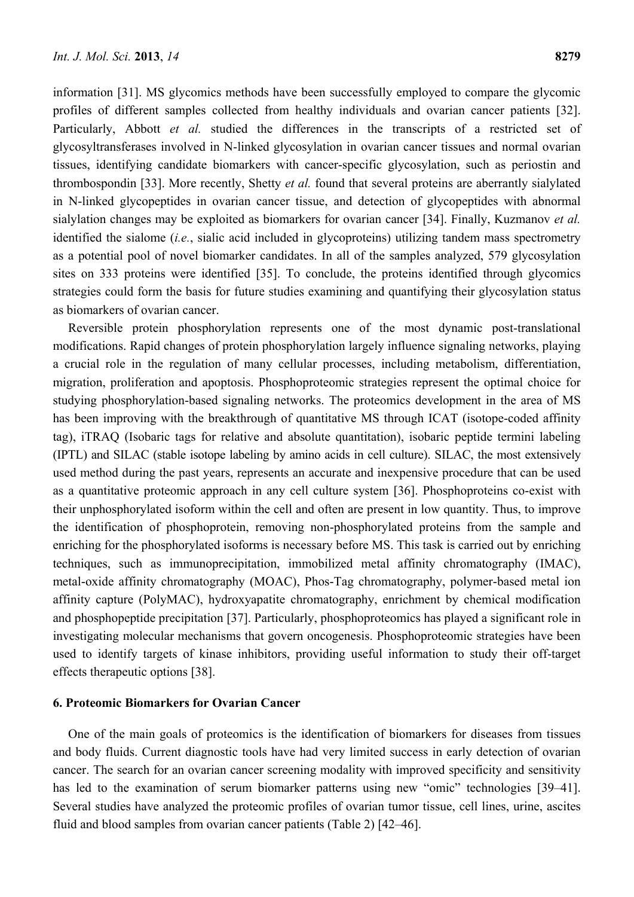information [31]. MS glycomics methods have been successfully employed to compare the glycomic profiles of different samples collected from healthy individuals and ovarian cancer patients [32]. Particularly, Abbott *et al.* studied the differences in the transcripts of a restricted set of glycosyltransferases involved in N-linked glycosylation in ovarian cancer tissues and normal ovarian tissues, identifying candidate biomarkers with cancer-specific glycosylation, such as periostin and thrombospondin [33]. More recently, Shetty *et al.* found that several proteins are aberrantly sialylated in N-linked glycopeptides in ovarian cancer tissue, and detection of glycopeptides with abnormal sialylation changes may be exploited as biomarkers for ovarian cancer [34]. Finally, Kuzmanov *et al.*  identified the sialome (*i.e.*, sialic acid included in glycoproteins) utilizing tandem mass spectrometry as a potential pool of novel biomarker candidates. In all of the samples analyzed, 579 glycosylation sites on 333 proteins were identified [35]. To conclude, the proteins identified through glycomics strategies could form the basis for future studies examining and quantifying their glycosylation status as biomarkers of ovarian cancer.

Reversible protein phosphorylation represents one of the most dynamic post-translational modifications. Rapid changes of protein phosphorylation largely influence signaling networks, playing a crucial role in the regulation of many cellular processes, including metabolism, differentiation, migration, proliferation and apoptosis. Phosphoproteomic strategies represent the optimal choice for studying phosphorylation-based signaling networks. The proteomics development in the area of MS has been improving with the breakthrough of quantitative MS through ICAT (isotope-coded affinity tag), iTRAQ (Isobaric tags for relative and absolute quantitation), isobaric peptide termini labeling (IPTL) and SILAC (stable isotope labeling by amino acids in cell culture). SILAC, the most extensively used method during the past years, represents an accurate and inexpensive procedure that can be used as a quantitative proteomic approach in any cell culture system [36]. Phosphoproteins co-exist with their unphosphorylated isoform within the cell and often are present in low quantity. Thus, to improve the identification of phosphoprotein, removing non-phosphorylated proteins from the sample and enriching for the phosphorylated isoforms is necessary before MS. This task is carried out by enriching techniques, such as immunoprecipitation, immobilized metal affinity chromatography (IMAC), metal-oxide affinity chromatography (MOAC), Phos-Tag chromatography, polymer-based metal ion affinity capture (PolyMAC), hydroxyapatite chromatography, enrichment by chemical modification and phosphopeptide precipitation [37]. Particularly, phosphoproteomics has played a significant role in investigating molecular mechanisms that govern oncogenesis. Phosphoproteomic strategies have been used to identify targets of kinase inhibitors, providing useful information to study their off-target effects therapeutic options [38].

#### **6. Proteomic Biomarkers for Ovarian Cancer**

One of the main goals of proteomics is the identification of biomarkers for diseases from tissues and body fluids. Current diagnostic tools have had very limited success in early detection of ovarian cancer. The search for an ovarian cancer screening modality with improved specificity and sensitivity has led to the examination of serum biomarker patterns using new "omic" technologies [39–41]. Several studies have analyzed the proteomic profiles of ovarian tumor tissue, cell lines, urine, ascites fluid and blood samples from ovarian cancer patients (Table 2) [42–46].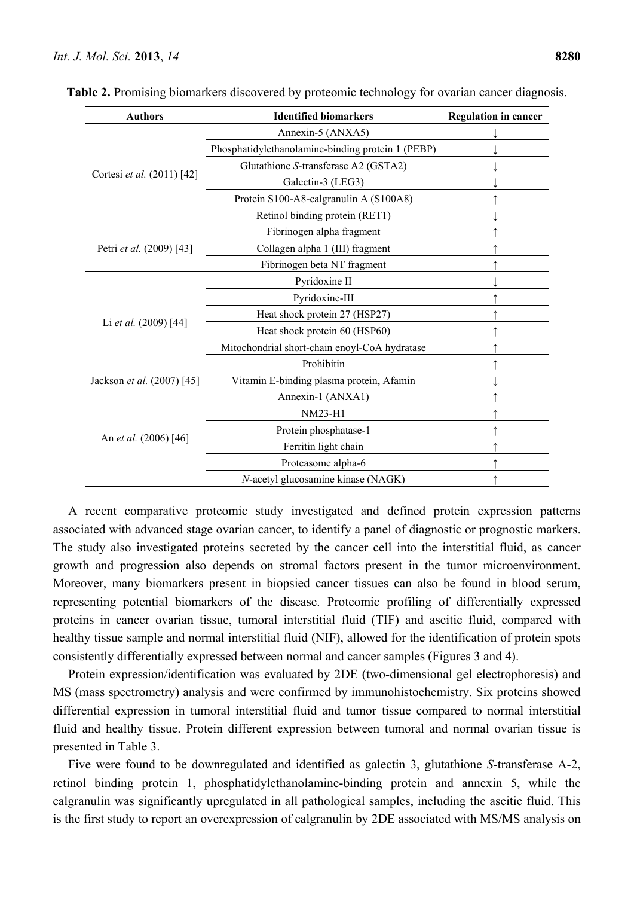| <b>Authors</b>             | <b>Identified biomarkers</b>                      | <b>Regulation in cancer</b> |  |
|----------------------------|---------------------------------------------------|-----------------------------|--|
| Cortesi et al. (2011) [42] | Annexin-5 (ANXA5)                                 |                             |  |
|                            | Phosphatidylethanolamine-binding protein 1 (PEBP) |                             |  |
|                            | Glutathione S-transferase A2 (GSTA2)              |                             |  |
|                            | Galectin-3 (LEG3)                                 |                             |  |
|                            | Protein S100-A8-calgranulin A (S100A8)            |                             |  |
|                            | Retinol binding protein (RET1)                    |                             |  |
| Petri et al. (2009) [43]   | Fibrinogen alpha fragment                         |                             |  |
|                            | Collagen alpha 1 (III) fragment                   |                             |  |
|                            | Fibrinogen beta NT fragment                       |                             |  |
| Li et al. (2009) [44]      | Pyridoxine II                                     |                             |  |
|                            | Pyridoxine-III                                    |                             |  |
|                            | Heat shock protein 27 (HSP27)                     |                             |  |
|                            | Heat shock protein 60 (HSP60)                     |                             |  |
|                            | Mitochondrial short-chain enoyl-CoA hydratase     |                             |  |
|                            | Prohibitin                                        |                             |  |
| Jackson et al. (2007) [45] | Vitamin E-binding plasma protein, Afamin          |                             |  |
| An et al. (2006) [46]      | Annexin-1 (ANXA1)                                 |                             |  |
|                            | NM23-H1                                           |                             |  |
|                            | Protein phosphatase-1                             |                             |  |
|                            | Ferritin light chain                              |                             |  |
|                            | Proteasome alpha-6                                |                             |  |
|                            | N-acetyl glucosamine kinase (NAGK)                |                             |  |

**Table 2.** Promising biomarkers discovered by proteomic technology for ovarian cancer diagnosis.

A recent comparative proteomic study investigated and defined protein expression patterns associated with advanced stage ovarian cancer, to identify a panel of diagnostic or prognostic markers. The study also investigated proteins secreted by the cancer cell into the interstitial fluid, as cancer growth and progression also depends on stromal factors present in the tumor microenvironment. Moreover, many biomarkers present in biopsied cancer tissues can also be found in blood serum, representing potential biomarkers of the disease. Proteomic profiling of differentially expressed proteins in cancer ovarian tissue, tumoral interstitial fluid (TIF) and ascitic fluid, compared with healthy tissue sample and normal interstitial fluid (NIF), allowed for the identification of protein spots consistently differentially expressed between normal and cancer samples (Figures 3 and 4).

Protein expression/identification was evaluated by 2DE (two-dimensional gel electrophoresis) and MS (mass spectrometry) analysis and were confirmed by immunohistochemistry. Six proteins showed differential expression in tumoral interstitial fluid and tumor tissue compared to normal interstitial fluid and healthy tissue. Protein different expression between tumoral and normal ovarian tissue is presented in Table 3.

Five were found to be downregulated and identified as galectin 3, glutathione *S*-transferase A-2, retinol binding protein 1, phosphatidylethanolamine-binding protein and annexin 5, while the calgranulin was significantly upregulated in all pathological samples, including the ascitic fluid. This is the first study to report an overexpression of calgranulin by 2DE associated with MS/MS analysis on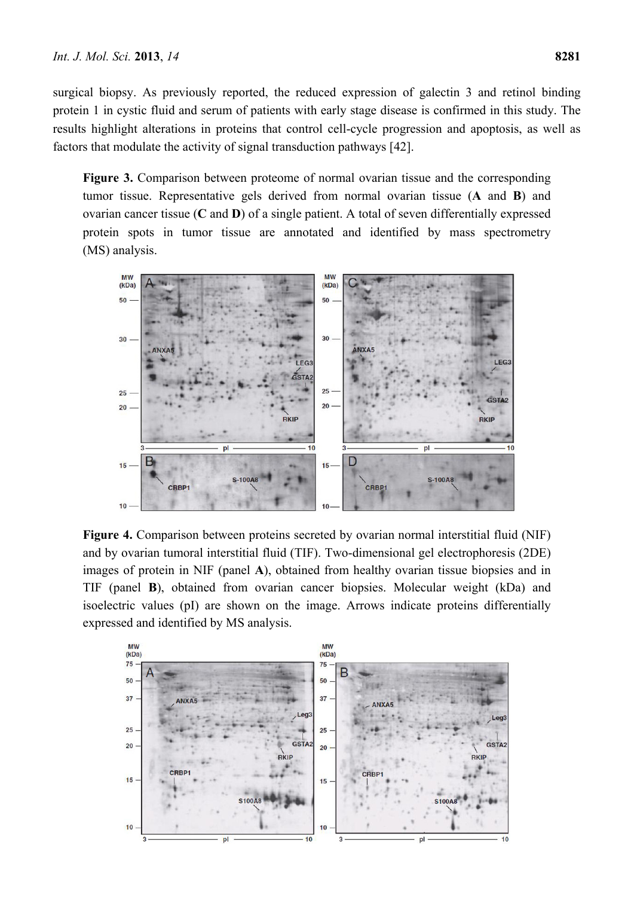surgical biopsy. As previously reported, the reduced expression of galectin 3 and retinol binding protein 1 in cystic fluid and serum of patients with early stage disease is confirmed in this study. The results highlight alterations in proteins that control cell-cycle progression and apoptosis, as well as factors that modulate the activity of signal transduction pathways [42].

**Figure 3.** Comparison between proteome of normal ovarian tissue and the corresponding tumor tissue. Representative gels derived from normal ovarian tissue (**A** and **B**) and ovarian cancer tissue (**C** and **D**) of a single patient. A total of seven differentially expressed protein spots in tumor tissue are annotated and identified by mass spectrometry (MS) analysis.



**Figure 4.** Comparison between proteins secreted by ovarian normal interstitial fluid (NIF) and by ovarian tumoral interstitial fluid (TIF). Two-dimensional gel electrophoresis (2DE) images of protein in NIF (panel **A**), obtained from healthy ovarian tissue biopsies and in TIF (panel **B**), obtained from ovarian cancer biopsies. Molecular weight (kDa) and isoelectric values (pI) are shown on the image. Arrows indicate proteins differentially expressed and identified by MS analysis.

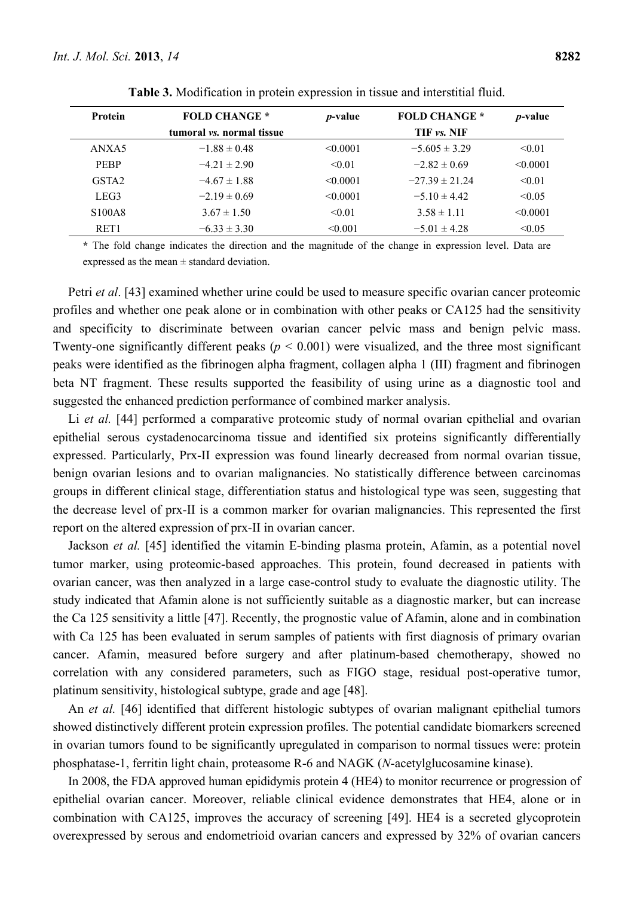| Protein                         | <b>FOLD CHANGE *</b>             | <i>p</i> -value | <b>FOLD CHANGE *</b> | <i>p</i> -value |
|---------------------------------|----------------------------------|-----------------|----------------------|-----------------|
|                                 | tumoral <i>vs.</i> normal tissue |                 | TIF vs. NIF          |                 |
| ANXA5                           | $-1.88 \pm 0.48$                 | $\leq 0.0001$   | $-5.605 \pm 3.29$    | < 0.01          |
| <b>PEBP</b>                     | $-4.21 \pm 2.90$                 | < 0.01          | $-2.82 \pm 0.69$     | < 0.0001        |
| GSTA <sub>2</sub>               | $-4.67 \pm 1.88$                 | $\leq 0.0001$   | $-27.39 \pm 21.24$   | < 0.01          |
| LEG3                            | $-2.19 \pm 0.69$                 | $\leq 0.0001$   | $-5.10 \pm 4.42$     | < 0.05          |
| S <sub>100</sub> A <sub>8</sub> | $3.67 \pm 1.50$                  | < 0.01          | $3.58 \pm 1.11$      | < 0.0001        |
| RET <sub>1</sub>                | $-6.33 \pm 3.30$                 | < 0.001         | $-5.01 \pm 4.28$     | < 0.05          |

**Table 3.** Modification in protein expression in tissue and interstitial fluid.

**\*** The fold change indicates the direction and the magnitude of the change in expression level. Data are expressed as the mean  $\pm$  standard deviation.

Petri *et al*. [43] examined whether urine could be used to measure specific ovarian cancer proteomic profiles and whether one peak alone or in combination with other peaks or CA125 had the sensitivity and specificity to discriminate between ovarian cancer pelvic mass and benign pelvic mass. Twenty-one significantly different peaks ( $p < 0.001$ ) were visualized, and the three most significant peaks were identified as the fibrinogen alpha fragment, collagen alpha 1 (III) fragment and fibrinogen beta NT fragment. These results supported the feasibility of using urine as a diagnostic tool and suggested the enhanced prediction performance of combined marker analysis.

Li *et al.* [44] performed a comparative proteomic study of normal ovarian epithelial and ovarian epithelial serous cystadenocarcinoma tissue and identified six proteins significantly differentially expressed. Particularly, Prx-II expression was found linearly decreased from normal ovarian tissue, benign ovarian lesions and to ovarian malignancies. No statistically difference between carcinomas groups in different clinical stage, differentiation status and histological type was seen, suggesting that the decrease level of prx-II is a common marker for ovarian malignancies. This represented the first report on the altered expression of prx-II in ovarian cancer.

Jackson *et al.* [45] identified the vitamin E-binding plasma protein, Afamin, as a potential novel tumor marker, using proteomic-based approaches. This protein, found decreased in patients with ovarian cancer, was then analyzed in a large case-control study to evaluate the diagnostic utility. The study indicated that Afamin alone is not sufficiently suitable as a diagnostic marker, but can increase the Ca 125 sensitivity a little [47]. Recently, the prognostic value of Afamin, alone and in combination with Ca 125 has been evaluated in serum samples of patients with first diagnosis of primary ovarian cancer. Afamin, measured before surgery and after platinum-based chemotherapy, showed no correlation with any considered parameters, such as FIGO stage, residual post-operative tumor, platinum sensitivity, histological subtype, grade and age [48].

An *et al.* [46] identified that different histologic subtypes of ovarian malignant epithelial tumors showed distinctively different protein expression profiles. The potential candidate biomarkers screened in ovarian tumors found to be significantly upregulated in comparison to normal tissues were: protein phosphatase-1, ferritin light chain, proteasome R-6 and NAGK (*N*-acetylglucosamine kinase).

In 2008, the FDA approved human epididymis protein 4 (HE4) to monitor recurrence or progression of epithelial ovarian cancer. Moreover, reliable clinical evidence demonstrates that HE4, alone or in combination with CA125, improves the accuracy of screening [49]. HE4 is a secreted glycoprotein overexpressed by serous and endometrioid ovarian cancers and expressed by 32% of ovarian cancers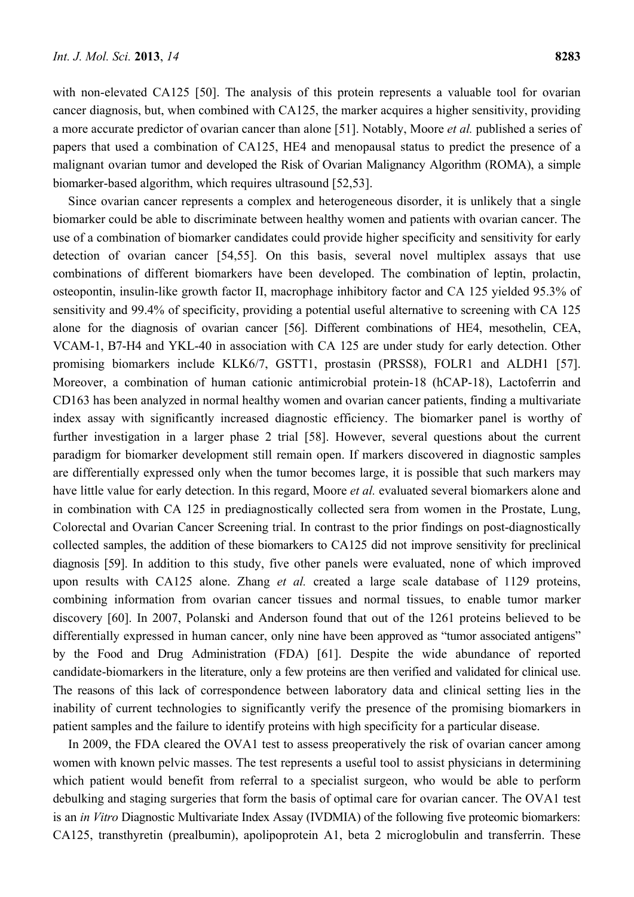with non-elevated CA125 [50]. The analysis of this protein represents a valuable tool for ovarian cancer diagnosis, but, when combined with CA125, the marker acquires a higher sensitivity, providing a more accurate predictor of ovarian cancer than alone [51]. Notably, Moore *et al.* published a series of papers that used a combination of CA125, HE4 and menopausal status to predict the presence of a malignant ovarian tumor and developed the Risk of Ovarian Malignancy Algorithm (ROMA), a simple biomarker-based algorithm, which requires ultrasound [52,53].

Since ovarian cancer represents a complex and heterogeneous disorder, it is unlikely that a single biomarker could be able to discriminate between healthy women and patients with ovarian cancer. The use of a combination of biomarker candidates could provide higher specificity and sensitivity for early detection of ovarian cancer [54,55]. On this basis, several novel multiplex assays that use combinations of different biomarkers have been developed. The combination of leptin, prolactin, osteopontin, insulin-like growth factor II, macrophage inhibitory factor and CA 125 yielded 95.3% of sensitivity and 99.4% of specificity, providing a potential useful alternative to screening with CA 125 alone for the diagnosis of ovarian cancer [56]. Different combinations of HE4, mesothelin, CEA, VCAM-1, B7-H4 and YKL-40 in association with CA 125 are under study for early detection. Other promising biomarkers include KLK6/7, GSTT1, prostasin (PRSS8), FOLR1 and ALDH1 [57]. Moreover, a combination of human cationic antimicrobial protein-18 (hCAP-18), Lactoferrin and CD163 has been analyzed in normal healthy women and ovarian cancer patients, finding a multivariate index assay with significantly increased diagnostic efficiency. The biomarker panel is worthy of further investigation in a larger phase 2 trial [58]. However, several questions about the current paradigm for biomarker development still remain open. If markers discovered in diagnostic samples are differentially expressed only when the tumor becomes large, it is possible that such markers may have little value for early detection. In this regard, Moore *et al.* evaluated several biomarkers alone and in combination with CA 125 in prediagnostically collected sera from women in the Prostate, Lung, Colorectal and Ovarian Cancer Screening trial. In contrast to the prior findings on post-diagnostically collected samples, the addition of these biomarkers to CA125 did not improve sensitivity for preclinical diagnosis [59]. In addition to this study, five other panels were evaluated, none of which improved upon results with CA125 alone. Zhang *et al.* created a large scale database of 1129 proteins, combining information from ovarian cancer tissues and normal tissues, to enable tumor marker discovery [60]. In 2007, Polanski and Anderson found that out of the 1261 proteins believed to be differentially expressed in human cancer, only nine have been approved as "tumor associated antigens" by the Food and Drug Administration (FDA) [61]. Despite the wide abundance of reported candidate-biomarkers in the literature, only a few proteins are then verified and validated for clinical use. The reasons of this lack of correspondence between laboratory data and clinical setting lies in the inability of current technologies to significantly verify the presence of the promising biomarkers in patient samples and the failure to identify proteins with high specificity for a particular disease.

In 2009, the FDA cleared the OVA1 test to assess preoperatively the risk of ovarian cancer among women with known pelvic masses. The test represents a useful tool to assist physicians in determining which patient would benefit from referral to a specialist surgeon, who would be able to perform debulking and staging surgeries that form the basis of optimal care for ovarian cancer. The OVA1 test is an *in Vitro* Diagnostic Multivariate Index Assay (IVDMIA) of the following five proteomic biomarkers: CA125, transthyretin (prealbumin), apolipoprotein A1, beta 2 microglobulin and transferrin. These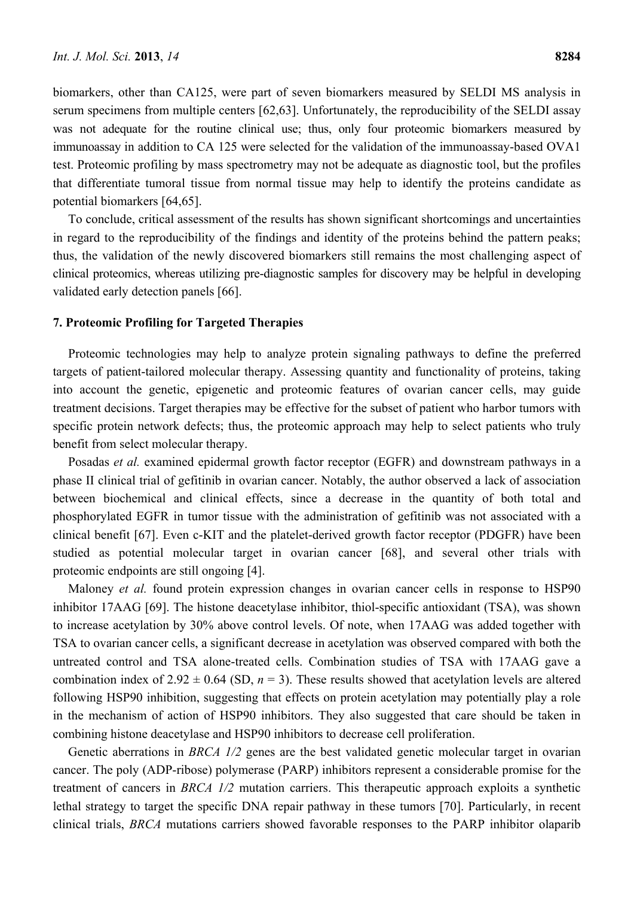biomarkers, other than CA125, were part of seven biomarkers measured by SELDI MS analysis in serum specimens from multiple centers [62,63]. Unfortunately, the reproducibility of the SELDI assay was not adequate for the routine clinical use; thus, only four proteomic biomarkers measured by immunoassay in addition to CA 125 were selected for the validation of the immunoassay-based OVA1 test. Proteomic profiling by mass spectrometry may not be adequate as diagnostic tool, but the profiles that differentiate tumoral tissue from normal tissue may help to identify the proteins candidate as potential biomarkers [64,65].

To conclude, critical assessment of the results has shown significant shortcomings and uncertainties in regard to the reproducibility of the findings and identity of the proteins behind the pattern peaks; thus, the validation of the newly discovered biomarkers still remains the most challenging aspect of clinical proteomics, whereas utilizing pre-diagnostic samples for discovery may be helpful in developing validated early detection panels [66].

## **7. Proteomic Profiling for Targeted Therapies**

Proteomic technologies may help to analyze protein signaling pathways to define the preferred targets of patient-tailored molecular therapy. Assessing quantity and functionality of proteins, taking into account the genetic, epigenetic and proteomic features of ovarian cancer cells, may guide treatment decisions. Target therapies may be effective for the subset of patient who harbor tumors with specific protein network defects; thus, the proteomic approach may help to select patients who truly benefit from select molecular therapy.

Posadas *et al.* examined epidermal growth factor receptor (EGFR) and downstream pathways in a phase II clinical trial of gefitinib in ovarian cancer. Notably, the author observed a lack of association between biochemical and clinical effects, since a decrease in the quantity of both total and phosphorylated EGFR in tumor tissue with the administration of gefitinib was not associated with a clinical benefit [67]. Even c-KIT and the platelet-derived growth factor receptor (PDGFR) have been studied as potential molecular target in ovarian cancer [68], and several other trials with proteomic endpoints are still ongoing [4].

Maloney *et al.* found protein expression changes in ovarian cancer cells in response to HSP90 inhibitor 17AAG [69]. The histone deacetylase inhibitor, thiol-specific antioxidant (TSA), was shown to increase acetylation by 30% above control levels. Of note, when 17AAG was added together with TSA to ovarian cancer cells, a significant decrease in acetylation was observed compared with both the untreated control and TSA alone-treated cells. Combination studies of TSA with 17AAG gave a combination index of  $2.92 \pm 0.64$  (SD,  $n = 3$ ). These results showed that acetylation levels are altered following HSP90 inhibition, suggesting that effects on protein acetylation may potentially play a role in the mechanism of action of HSP90 inhibitors. They also suggested that care should be taken in combining histone deacetylase and HSP90 inhibitors to decrease cell proliferation.

Genetic aberrations in *BRCA 1/2* genes are the best validated genetic molecular target in ovarian cancer. The poly (ADP-ribose) polymerase (PARP) inhibitors represent a considerable promise for the treatment of cancers in *BRCA 1/2* mutation carriers. This therapeutic approach exploits a synthetic lethal strategy to target the specific DNA repair pathway in these tumors [70]. Particularly, in recent clinical trials, *BRCA* mutations carriers showed favorable responses to the PARP inhibitor olaparib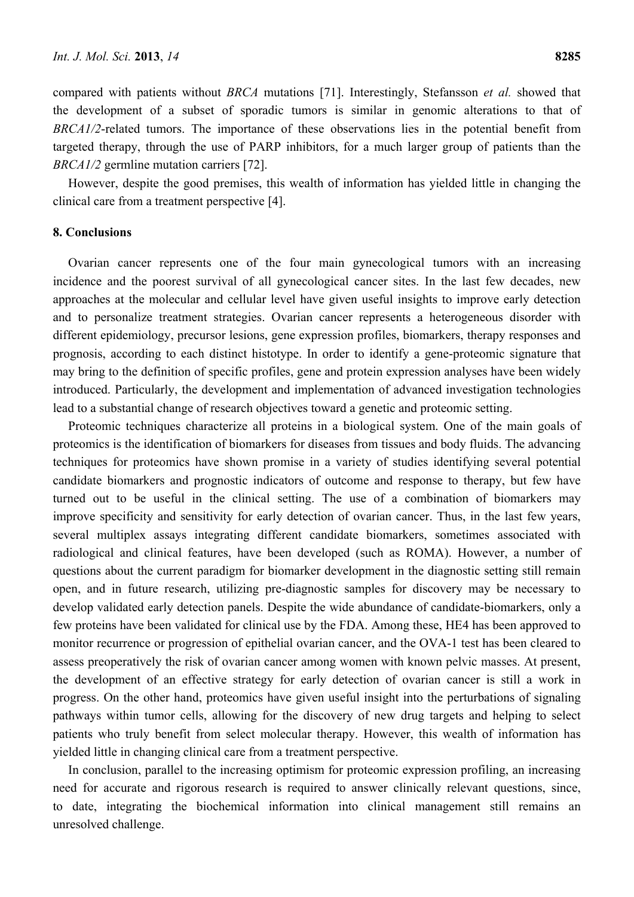compared with patients without *BRCA* mutations [71]. Interestingly, Stefansson *et al.* showed that the development of a subset of sporadic tumors is similar in genomic alterations to that of *BRCA1/2*-related tumors. The importance of these observations lies in the potential benefit from targeted therapy, through the use of PARP inhibitors, for a much larger group of patients than the *BRCA1/2* germline mutation carriers [72].

However, despite the good premises, this wealth of information has yielded little in changing the clinical care from a treatment perspective [4].

## **8. Conclusions**

Ovarian cancer represents one of the four main gynecological tumors with an increasing incidence and the poorest survival of all gynecological cancer sites. In the last few decades, new approaches at the molecular and cellular level have given useful insights to improve early detection and to personalize treatment strategies. Ovarian cancer represents a heterogeneous disorder with different epidemiology, precursor lesions, gene expression profiles, biomarkers, therapy responses and prognosis, according to each distinct histotype. In order to identify a gene-proteomic signature that may bring to the definition of specific profiles, gene and protein expression analyses have been widely introduced. Particularly, the development and implementation of advanced investigation technologies lead to a substantial change of research objectives toward a genetic and proteomic setting.

Proteomic techniques characterize all proteins in a biological system. One of the main goals of proteomics is the identification of biomarkers for diseases from tissues and body fluids. The advancing techniques for proteomics have shown promise in a variety of studies identifying several potential candidate biomarkers and prognostic indicators of outcome and response to therapy, but few have turned out to be useful in the clinical setting. The use of a combination of biomarkers may improve specificity and sensitivity for early detection of ovarian cancer. Thus, in the last few years, several multiplex assays integrating different candidate biomarkers, sometimes associated with radiological and clinical features, have been developed (such as ROMA). However, a number of questions about the current paradigm for biomarker development in the diagnostic setting still remain open, and in future research, utilizing pre-diagnostic samples for discovery may be necessary to develop validated early detection panels. Despite the wide abundance of candidate-biomarkers, only a few proteins have been validated for clinical use by the FDA. Among these, HE4 has been approved to monitor recurrence or progression of epithelial ovarian cancer, and the OVA-1 test has been cleared to assess preoperatively the risk of ovarian cancer among women with known pelvic masses. At present, the development of an effective strategy for early detection of ovarian cancer is still a work in progress. On the other hand, proteomics have given useful insight into the perturbations of signaling pathways within tumor cells, allowing for the discovery of new drug targets and helping to select patients who truly benefit from select molecular therapy. However, this wealth of information has yielded little in changing clinical care from a treatment perspective.

In conclusion, parallel to the increasing optimism for proteomic expression profiling, an increasing need for accurate and rigorous research is required to answer clinically relevant questions, since, to date, integrating the biochemical information into clinical management still remains an unresolved challenge.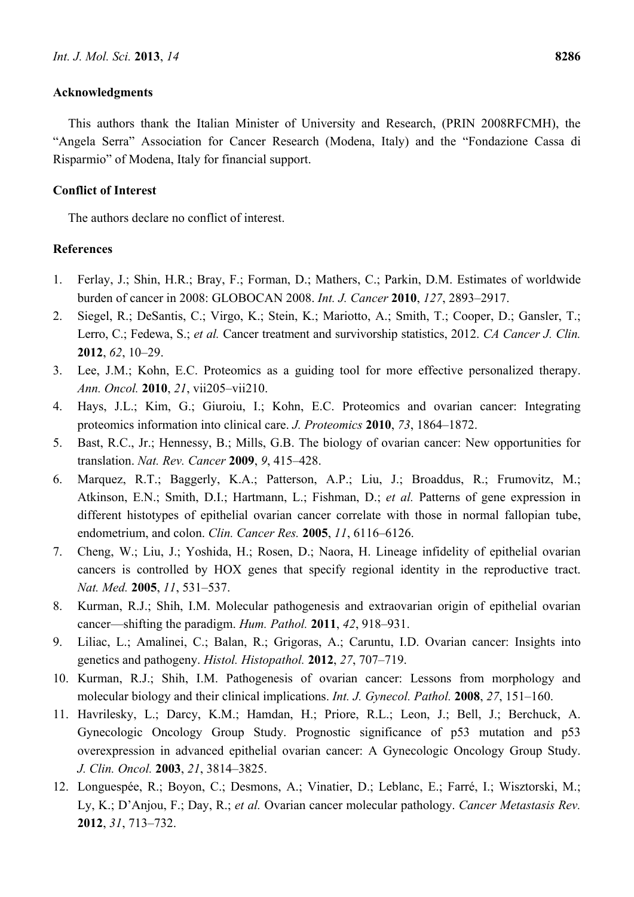## **Acknowledgments**

This authors thank the Italian Minister of University and Research, (PRIN 2008RFCMH), the "Angela Serra" Association for Cancer Research (Modena, Italy) and the "Fondazione Cassa di Risparmio" of Modena, Italy for financial support.

## **Conflict of Interest**

The authors declare no conflict of interest.

## **References**

- 1. Ferlay, J.; Shin, H.R.; Bray, F.; Forman, D.; Mathers, C.; Parkin, D.M. Estimates of worldwide burden of cancer in 2008: GLOBOCAN 2008. *Int. J. Cancer* **2010**, *127*, 2893–2917.
- 2. Siegel, R.; DeSantis, C.; Virgo, K.; Stein, K.; Mariotto, A.; Smith, T.; Cooper, D.; Gansler, T.; Lerro, C.; Fedewa, S.; *et al.* Cancer treatment and survivorship statistics, 2012. *CA Cancer J. Clin.* **2012**, *62*, 10–29.
- 3. Lee, J.M.; Kohn, E.C. Proteomics as a guiding tool for more effective personalized therapy. *Ann. Oncol.* **2010**, *21*, vii205–vii210.
- 4. Hays, J.L.; Kim, G.; Giuroiu, I.; Kohn, E.C. Proteomics and ovarian cancer: Integrating proteomics information into clinical care. *J. Proteomics* **2010**, *73*, 1864–1872.
- 5. Bast, R.C., Jr.; Hennessy, B.; Mills, G.B. The biology of ovarian cancer: New opportunities for translation. *Nat. Rev. Cancer* **2009**, *9*, 415–428.
- 6. Marquez, R.T.; Baggerly, K.A.; Patterson, A.P.; Liu, J.; Broaddus, R.; Frumovitz, M.; Atkinson, E.N.; Smith, D.I.; Hartmann, L.; Fishman, D.; *et al.* Patterns of gene expression in different histotypes of epithelial ovarian cancer correlate with those in normal fallopian tube, endometrium, and colon. *Clin. Cancer Res.* **2005**, *11*, 6116–6126.
- 7. Cheng, W.; Liu, J.; Yoshida, H.; Rosen, D.; Naora, H. Lineage infidelity of epithelial ovarian cancers is controlled by HOX genes that specify regional identity in the reproductive tract. *Nat. Med.* **2005**, *11*, 531–537.
- 8. Kurman, R.J.; Shih, I.M. Molecular pathogenesis and extraovarian origin of epithelial ovarian cancer—shifting the paradigm. *Hum. Pathol.* **2011**, *42*, 918–931.
- 9. Liliac, L.; Amalinei, C.; Balan, R.; Grigoras, A.; Caruntu, I.D. Ovarian cancer: Insights into genetics and pathogeny. *Histol. Histopathol.* **2012**, *27*, 707–719.
- 10. Kurman, R.J.; Shih, I.M. Pathogenesis of ovarian cancer: Lessons from morphology and molecular biology and their clinical implications. *Int. J. Gynecol. Pathol.* **2008**, *27*, 151–160.
- 11. Havrilesky, L.; Darcy, K.M.; Hamdan, H.; Priore, R.L.; Leon, J.; Bell, J.; Berchuck, A. Gynecologic Oncology Group Study. Prognostic significance of p53 mutation and p53 overexpression in advanced epithelial ovarian cancer: A Gynecologic Oncology Group Study. *J. Clin. Oncol.* **2003**, *21*, 3814–3825.
- 12. Longuespée, R.; Boyon, C.; Desmons, A.; Vinatier, D.; Leblanc, E.; Farré, I.; Wisztorski, M.; Ly, K.; D'Anjou, F.; Day, R.; *et al.* Ovarian cancer molecular pathology. *Cancer Metastasis Rev.* **2012**, *31*, 713–732.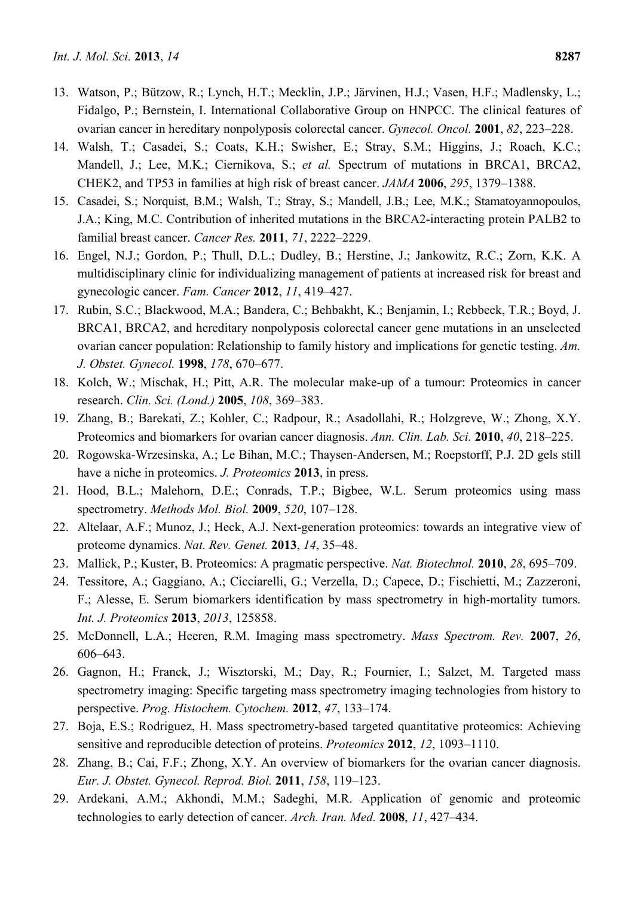- 13. Watson, P.; Bützow, R.; Lynch, H.T.; Mecklin, J.P.; Järvinen, H.J.; Vasen, H.F.; Madlensky, L.; Fidalgo, P.; Bernstein, I. International Collaborative Group on HNPCC. The clinical features of ovarian cancer in hereditary nonpolyposis colorectal cancer. *Gynecol. Oncol.* **2001**, *82*, 223–228.
- 14. Walsh, T.; Casadei, S.; Coats, K.H.; Swisher, E.; Stray, S.M.; Higgins, J.; Roach, K.C.; Mandell, J.; Lee, M.K.; Ciernikova, S.; *et al.* Spectrum of mutations in BRCA1, BRCA2, CHEK2, and TP53 in families at high risk of breast cancer. *JAMA* **2006**, *295*, 1379–1388.
- 15. Casadei, S.; Norquist, B.M.; Walsh, T.; Stray, S.; Mandell, J.B.; Lee, M.K.; Stamatoyannopoulos, J.A.; King, M.C. Contribution of inherited mutations in the BRCA2-interacting protein PALB2 to familial breast cancer. *Cancer Res.* **2011**, *71*, 2222–2229.
- 16. Engel, N.J.; Gordon, P.; Thull, D.L.; Dudley, B.; Herstine, J.; Jankowitz, R.C.; Zorn, K.K. A multidisciplinary clinic for individualizing management of patients at increased risk for breast and gynecologic cancer. *Fam. Cancer* **2012**, *11*, 419–427.
- 17. Rubin, S.C.; Blackwood, M.A.; Bandera, C.; Behbakht, K.; Benjamin, I.; Rebbeck, T.R.; Boyd, J. BRCA1, BRCA2, and hereditary nonpolyposis colorectal cancer gene mutations in an unselected ovarian cancer population: Relationship to family history and implications for genetic testing. *Am. J. Obstet. Gynecol.* **1998**, *178*, 670–677.
- 18. Kolch, W.; Mischak, H.; Pitt, A.R. The molecular make-up of a tumour: Proteomics in cancer research. *Clin. Sci. (Lond.)* **2005**, *108*, 369–383.
- 19. Zhang, B.; Barekati, Z.; Kohler, C.; Radpour, R.; Asadollahi, R.; Holzgreve, W.; Zhong, X.Y. Proteomics and biomarkers for ovarian cancer diagnosis. *Ann. Clin. Lab. Sci.* **2010**, *40*, 218–225.
- 20. Rogowska-Wrzesinska, A.; Le Bihan, M.C.; Thaysen-Andersen, M.; Roepstorff, P.J. 2D gels still have a niche in proteomics. *J. Proteomics* **2013**, in press.
- 21. Hood, B.L.; Malehorn, D.E.; Conrads, T.P.; Bigbee, W.L. Serum proteomics using mass spectrometry. *Methods Mol. Biol.* **2009**, *520*, 107–128.
- 22. Altelaar, A.F.; Munoz, J.; Heck, A.J. Next-generation proteomics: towards an integrative view of proteome dynamics. *Nat. Rev. Genet.* **2013**, *14*, 35–48.
- 23. Mallick, P.; Kuster, B. Proteomics: A pragmatic perspective. *Nat. Biotechnol.* **2010**, *28*, 695–709.
- 24. Tessitore, A.; Gaggiano, A.; Cicciarelli, G.; Verzella, D.; Capece, D.; Fischietti, M.; Zazzeroni, F.; Alesse, E. Serum biomarkers identification by mass spectrometry in high-mortality tumors. *Int. J. Proteomics* **2013**, *2013*, 125858.
- 25. McDonnell, L.A.; Heeren, R.M. Imaging mass spectrometry. *Mass Spectrom. Rev.* **2007**, *26*, 606–643.
- 26. Gagnon, H.; Franck, J.; Wisztorski, M.; Day, R.; Fournier, I.; Salzet, M. Targeted mass spectrometry imaging: Specific targeting mass spectrometry imaging technologies from history to perspective. *Prog. Histochem. Cytochem.* **2012**, *47*, 133–174.
- 27. Boja, E.S.; Rodriguez, H. Mass spectrometry-based targeted quantitative proteomics: Achieving sensitive and reproducible detection of proteins. *Proteomics* **2012**, *12*, 1093–1110.
- 28. Zhang, B.; Cai, F.F.; Zhong, X.Y. An overview of biomarkers for the ovarian cancer diagnosis. *Eur. J. Obstet. Gynecol. Reprod. Biol.* **2011**, *158*, 119–123.
- 29. Ardekani, A.M.; Akhondi, M.M.; Sadeghi, M.R. Application of genomic and proteomic technologies to early detection of cancer. *Arch. Iran. Med.* **2008**, *11*, 427–434.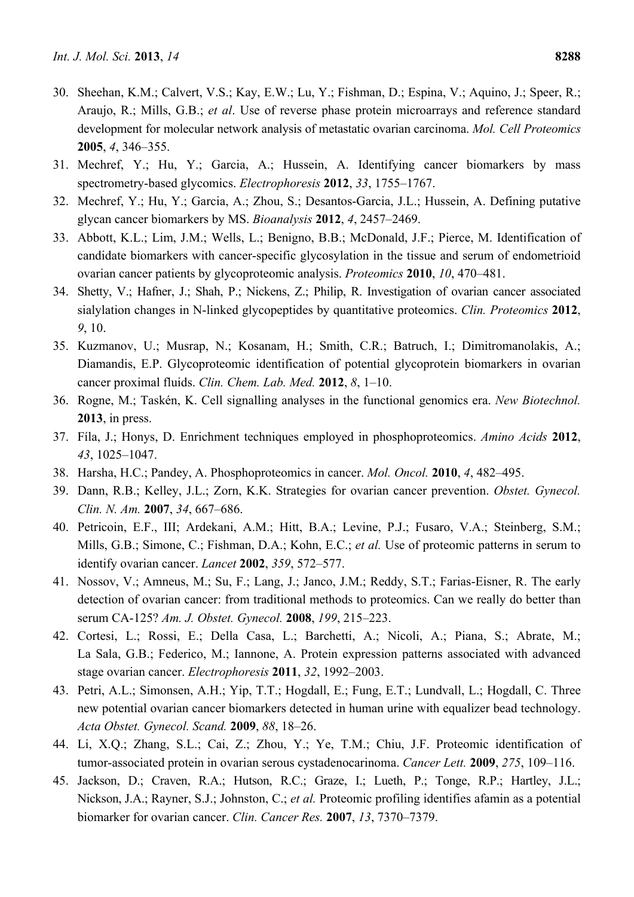- 30. Sheehan, K.M.; Calvert, V.S.; Kay, E.W.; Lu, Y.; Fishman, D.; Espina, V.; Aquino, J.; Speer, R.; Araujo, R.; Mills, G.B.; *et al*. Use of reverse phase protein microarrays and reference standard development for molecular network analysis of metastatic ovarian carcinoma. *Mol. Cell Proteomics* **2005**, *4*, 346–355.
- 31. Mechref, Y.; Hu, Y.; Garcia, A.; Hussein, A. Identifying cancer biomarkers by mass spectrometry-based glycomics. *Electrophoresis* **2012**, *33*, 1755–1767.
- 32. Mechref, Y.; Hu, Y.; Garcia, A.; Zhou, S.; Desantos-Garcia, J.L.; Hussein, A. Defining putative glycan cancer biomarkers by MS. *Bioanalysis* **2012**, *4*, 2457–2469.
- 33. Abbott, K.L.; Lim, J.M.; Wells, L.; Benigno, B.B.; McDonald, J.F.; Pierce, M. Identification of candidate biomarkers with cancer-specific glycosylation in the tissue and serum of endometrioid ovarian cancer patients by glycoproteomic analysis. *Proteomics* **2010**, *10*, 470–481.
- 34. Shetty, V.; Hafner, J.; Shah, P.; Nickens, Z.; Philip, R. Investigation of ovarian cancer associated sialylation changes in N-linked glycopeptides by quantitative proteomics. *Clin. Proteomics* **2012**, *9*, 10.
- 35. Kuzmanov, U.; Musrap, N.; Kosanam, H.; Smith, C.R.; Batruch, I.; Dimitromanolakis, A.; Diamandis, E.P. Glycoproteomic identification of potential glycoprotein biomarkers in ovarian cancer proximal fluids. *Clin. Chem. Lab. Med.* **2012**, *8*, 1–10.
- 36. Rogne, M.; Taskén, K. Cell signalling analyses in the functional genomics era. *New Biotechnol.* **2013**, in press.
- 37. Fíla, J.; Honys, D. Enrichment techniques employed in phosphoproteomics. *Amino Acids* **2012**, *43*, 1025–1047.
- 38. Harsha, H.C.; Pandey, A. Phosphoproteomics in cancer. *Mol. Oncol.* **2010**, *4*, 482–495.
- 39. Dann, R.B.; Kelley, J.L.; Zorn, K.K. Strategies for ovarian cancer prevention. *Obstet. Gynecol. Clin. N. Am.* **2007**, *34*, 667–686.
- 40. Petricoin, E.F., III; Ardekani, A.M.; Hitt, B.A.; Levine, P.J.; Fusaro, V.A.; Steinberg, S.M.; Mills, G.B.; Simone, C.; Fishman, D.A.; Kohn, E.C.; *et al.* Use of proteomic patterns in serum to identify ovarian cancer. *Lancet* **2002**, *359*, 572–577.
- 41. Nossov, V.; Amneus, M.; Su, F.; Lang, J.; Janco, J.M.; Reddy, S.T.; Farias-Eisner, R. The early detection of ovarian cancer: from traditional methods to proteomics. Can we really do better than serum CA-125? *Am. J. Obstet. Gynecol.* **2008**, *199*, 215–223.
- 42. Cortesi, L.; Rossi, E.; Della Casa, L.; Barchetti, A.; Nicoli, A.; Piana, S.; Abrate, M.; La Sala, G.B.; Federico, M.; Iannone, A. Protein expression patterns associated with advanced stage ovarian cancer. *Electrophoresis* **2011**, *32*, 1992–2003.
- 43. Petri, A.L.; Simonsen, A.H.; Yip, T.T.; Hogdall, E.; Fung, E.T.; Lundvall, L.; Hogdall, C. Three new potential ovarian cancer biomarkers detected in human urine with equalizer bead technology. *Acta Obstet. Gynecol. Scand.* **2009**, *88*, 18–26.
- 44. Li, X.Q.; Zhang, S.L.; Cai, Z.; Zhou, Y.; Ye, T.M.; Chiu, J.F. Proteomic identification of tumor-associated protein in ovarian serous cystadenocarinoma. *Cancer Lett.* **2009**, *275*, 109–116.
- 45. Jackson, D.; Craven, R.A.; Hutson, R.C.; Graze, I.; Lueth, P.; Tonge, R.P.; Hartley, J.L.; Nickson, J.A.; Rayner, S.J.; Johnston, C.; *et al.* Proteomic profiling identifies afamin as a potential biomarker for ovarian cancer. *Clin. Cancer Res.* **2007**, *13*, 7370–7379.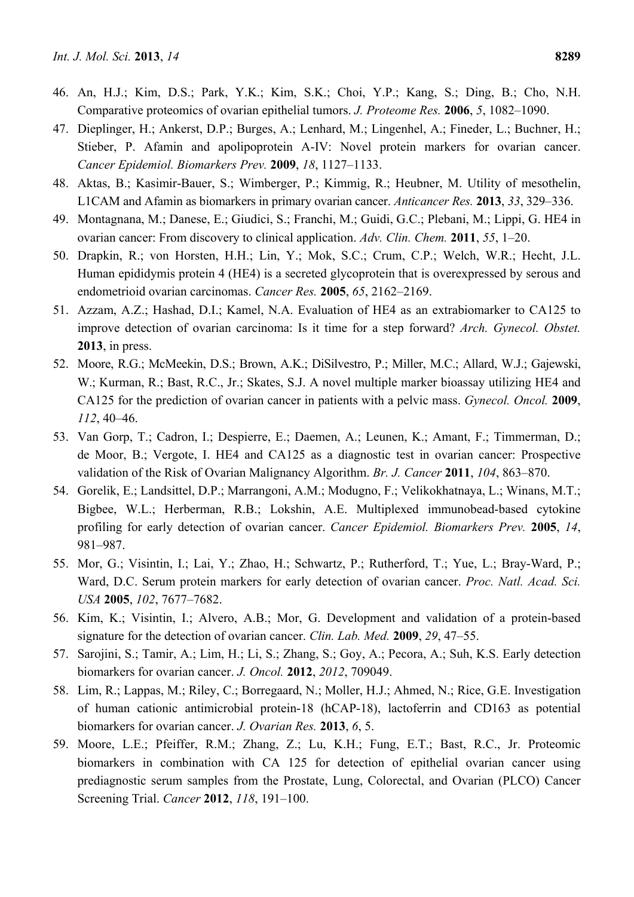- 46. An, H.J.; Kim, D.S.; Park, Y.K.; Kim, S.K.; Choi, Y.P.; Kang, S.; Ding, B.; Cho, N.H. Comparative proteomics of ovarian epithelial tumors. *J. Proteome Res.* **2006**, *5*, 1082–1090.
- 47. Dieplinger, H.; Ankerst, D.P.; Burges, A.; Lenhard, M.; Lingenhel, A.; Fineder, L.; Buchner, H.; Stieber, P. Afamin and apolipoprotein A-IV: Novel protein markers for ovarian cancer. *Cancer Epidemiol. Biomarkers Prev.* **2009**, *18*, 1127–1133.
- 48. Aktas, B.; Kasimir-Bauer, S.; Wimberger, P.; Kimmig, R.; Heubner, M. Utility of mesothelin, L1CAM and Afamin as biomarkers in primary ovarian cancer. *Anticancer Res.* **2013**, *33*, 329–336.
- 49. Montagnana, M.; Danese, E.; Giudici, S.; Franchi, M.; Guidi, G.C.; Plebani, M.; Lippi, G. HE4 in ovarian cancer: From discovery to clinical application. *Adv. Clin. Chem.* **2011**, *55*, 1–20.
- 50. Drapkin, R.; von Horsten, H.H.; Lin, Y.; Mok, S.C.; Crum, C.P.; Welch, W.R.; Hecht, J.L. Human epididymis protein 4 (HE4) is a secreted glycoprotein that is overexpressed by serous and endometrioid ovarian carcinomas. *Cancer Res.* **2005**, *65*, 2162–2169.
- 51. Azzam, A.Z.; Hashad, D.I.; Kamel, N.A. Evaluation of HE4 as an extrabiomarker to CA125 to improve detection of ovarian carcinoma: Is it time for a step forward? *Arch. Gynecol. Obstet.* **2013**, in press.
- 52. Moore, R.G.; McMeekin, D.S.; Brown, A.K.; DiSilvestro, P.; Miller, M.C.; Allard, W.J.; Gajewski, W.; Kurman, R.; Bast, R.C., Jr.; Skates, S.J. A novel multiple marker bioassay utilizing HE4 and CA125 for the prediction of ovarian cancer in patients with a pelvic mass. *Gynecol. Oncol.* **2009**, *112*, 40–46.
- 53. Van Gorp, T.; Cadron, I.; Despierre, E.; Daemen, A.; Leunen, K.; Amant, F.; Timmerman, D.; de Moor, B.; Vergote, I. HE4 and CA125 as a diagnostic test in ovarian cancer: Prospective validation of the Risk of Ovarian Malignancy Algorithm. *Br. J. Cancer* **2011**, *104*, 863–870.
- 54. Gorelik, E.; Landsittel, D.P.; Marrangoni, A.M.; Modugno, F.; Velikokhatnaya, L.; Winans, M.T.; Bigbee, W.L.; Herberman, R.B.; Lokshin, A.E. Multiplexed immunobead-based cytokine profiling for early detection of ovarian cancer. *Cancer Epidemiol. Biomarkers Prev.* **2005**, *14*, 981–987.
- 55. Mor, G.; Visintin, I.; Lai, Y.; Zhao, H.; Schwartz, P.; Rutherford, T.; Yue, L.; Bray-Ward, P.; Ward, D.C. Serum protein markers for early detection of ovarian cancer. *Proc. Natl. Acad. Sci. USA* **2005**, *102*, 7677–7682.
- 56. Kim, K.; Visintin, I.; Alvero, A.B.; Mor, G. Development and validation of a protein-based signature for the detection of ovarian cancer. *Clin. Lab. Med.* **2009**, *29*, 47–55.
- 57. Sarojini, S.; Tamir, A.; Lim, H.; Li, S.; Zhang, S.; Goy, A.; Pecora, A.; Suh, K.S. Early detection biomarkers for ovarian cancer. *J. Oncol.* **2012**, *2012*, 709049.
- 58. Lim, R.; Lappas, M.; Riley, C.; Borregaard, N.; Moller, H.J.; Ahmed, N.; Rice, G.E. Investigation of human cationic antimicrobial protein-18 (hCAP-18), lactoferrin and CD163 as potential biomarkers for ovarian cancer. *J. Ovarian Res.* **2013**, *6*, 5.
- 59. Moore, L.E.; Pfeiffer, R.M.; Zhang, Z.; Lu, K.H.; Fung, E.T.; Bast, R.C., Jr. Proteomic biomarkers in combination with CA 125 for detection of epithelial ovarian cancer using prediagnostic serum samples from the Prostate, Lung, Colorectal, and Ovarian (PLCO) Cancer Screening Trial. *Cancer* **2012**, *118*, 191–100.